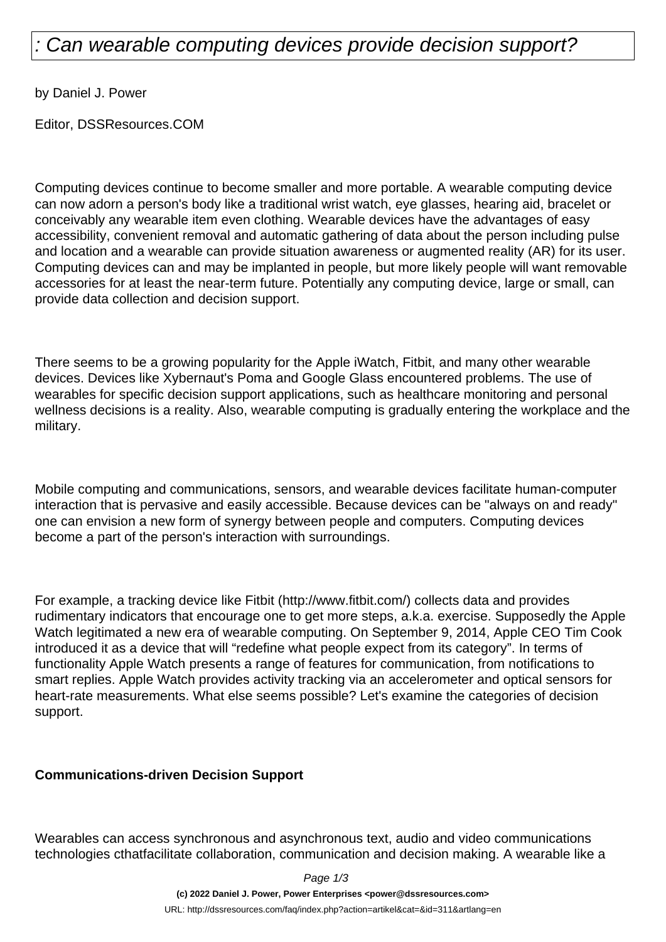# : Can wearable computing devices provide decision support?

by Daniel J. Power

Editor, DSSResources.COM

Computing devices continue to become smaller and more portable. A wearable computing device can now adorn a person's body like a traditional wrist watch, eye glasses, hearing aid, bracelet or conceivably any wearable item even clothing. Wearable devices have the advantages of easy accessibility, convenient removal and automatic gathering of data about the person including pulse and location and a wearable can provide situation awareness or augmented reality (AR) for its user. Computing devices can and may be implanted in people, but more likely people will want removable accessories for at least the near-term future. Potentially any computing device, large or small, can provide data collection and decision support.

There seems to be a growing popularity for the Apple iWatch, Fitbit, and many other wearable devices. Devices like Xybernaut's Poma and Google Glass encountered problems. The use of wearables for specific decision support applications, such as healthcare monitoring and personal wellness decisions is a reality. Also, wearable computing is gradually entering the workplace and the military.

Mobile computing and communications, sensors, and wearable devices facilitate human-computer interaction that is pervasive and easily accessible. Because devices can be "always on and ready" one can envision a new form of synergy between people and computers. Computing devices become a part of the person's interaction with surroundings.

For example, a tracking device like Fitbit (http://www.fitbit.com/) collects data and provides rudimentary indicators that encourage one to get more steps, a.k.a. exercise. Supposedly the Apple Watch legitimated a new era of wearable computing. On September 9, 2014, Apple CEO Tim Cook introduced it as a device that will "redefine what people expect from its category". In terms of functionality Apple Watch presents a range of features for communication, from notifications to smart replies. Apple Watch provides activity tracking via an accelerometer and optical sensors for heart-rate measurements. What else seems possible? Let's examine the categories of decision support.

#### **Communications-driven Decision Support**

Wearables can access synchronous and asynchronous text, audio and video communications technologies cthatfacilitate collaboration, communication and decision making. A wearable like a

Page 1/3

**(c) 2022 Daniel J. Power, Power Enterprises <power@dssresources.com>**

URL: http://dssresources.com/faq/index.php?action=artikel&cat=&id=311&artlang=en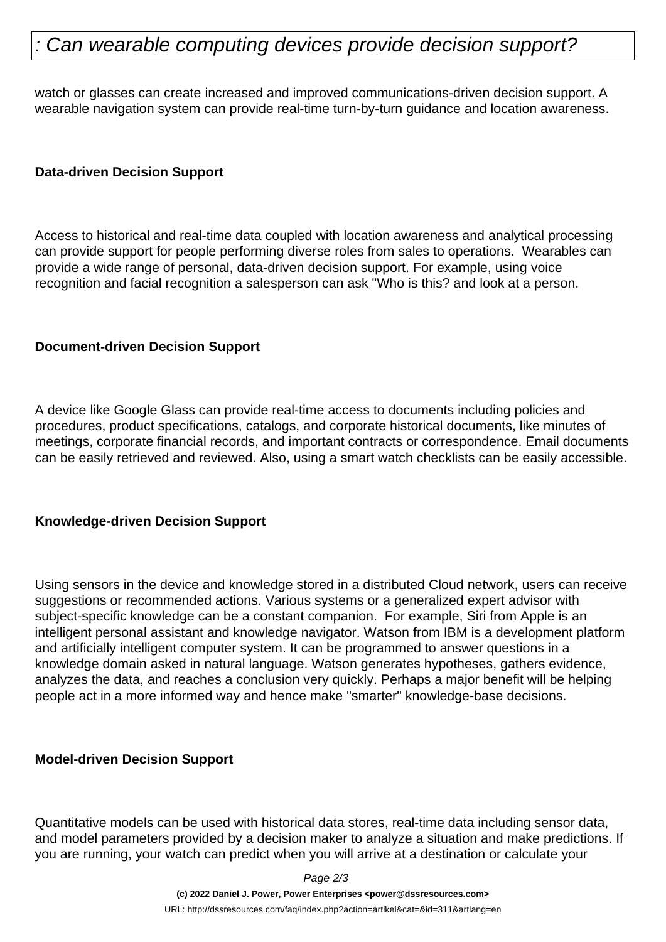# : Can wearable computing devices provide decision support?

watch or glasses can create increased and improved communications-driven decision support. A wearable navigation system can provide real-time turn-by-turn guidance and location awareness.

### **Data-driven Decision Support**

Access to historical and real-time data coupled with location awareness and analytical processing can provide support for people performing diverse roles from sales to operations. Wearables can provide a wide range of personal, data-driven decision support. For example, using voice recognition and facial recognition a salesperson can ask "Who is this? and look at a person.

### **Document-driven Decision Support**

A device like Google Glass can provide real-time access to documents including policies and procedures, product specifications, catalogs, and corporate historical documents, like minutes of meetings, corporate financial records, and important contracts or correspondence. Email documents can be easily retrieved and reviewed. Also, using a smart watch checklists can be easily accessible.

#### **Knowledge-driven Decision Support**

Using sensors in the device and knowledge stored in a distributed Cloud network, users can receive suggestions or recommended actions. Various systems or a generalized expert advisor with subject-specific knowledge can be a constant companion. For example, Siri from Apple is an intelligent personal assistant and knowledge navigator. Watson from IBM is a development platform and artificially intelligent computer system. It can be programmed to answer questions in a knowledge domain asked in natural language. Watson generates hypotheses, gathers evidence, analyzes the data, and reaches a conclusion very quickly. Perhaps a major benefit will be helping people act in a more informed way and hence make "smarter" knowledge-base decisions.

#### **Model-driven Decision Support**

Quantitative models can be used with historical data stores, real-time data including sensor data, and model parameters provided by a decision maker to analyze a situation and make predictions. If you are running, your watch can predict when you will arrive at a destination or calculate your

Page 2/3

**(c) 2022 Daniel J. Power, Power Enterprises <power@dssresources.com>**

URL: http://dssresources.com/faq/index.php?action=artikel&cat=&id=311&artlang=en